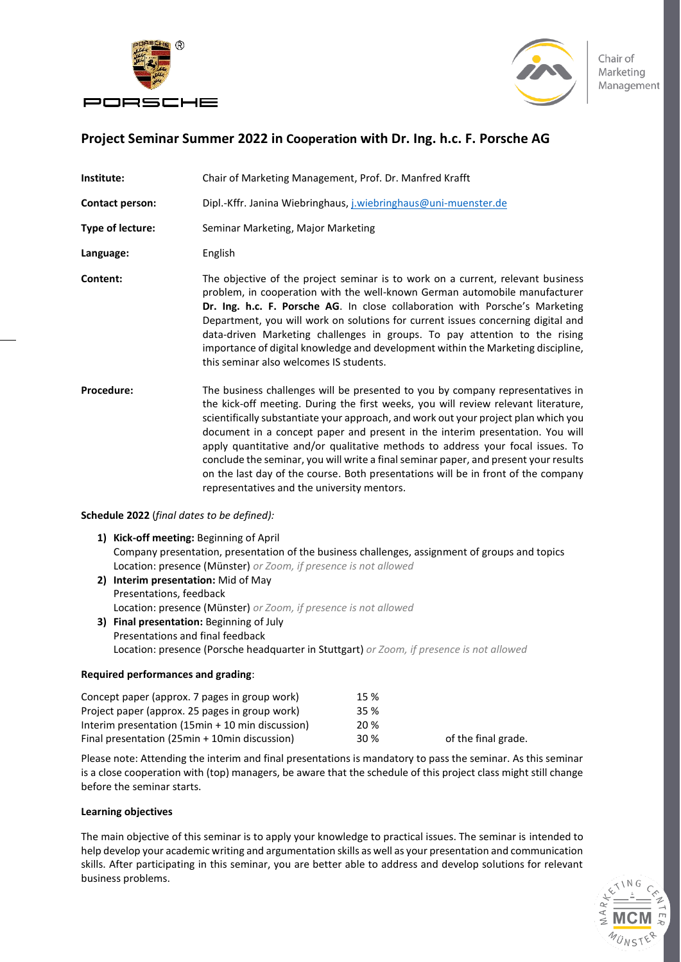



Chair of Marketing Management

## **Project Seminar Summer 2022 in Cooperation with Dr. Ing. h.c. F. Porsche AG**

| Institute:             | Chair of Marketing Management, Prof. Dr. Manfred Krafft                                                                                                                                                                                                                                                                                                                                                                                                                                                                                                                                                                                                    |  |  |
|------------------------|------------------------------------------------------------------------------------------------------------------------------------------------------------------------------------------------------------------------------------------------------------------------------------------------------------------------------------------------------------------------------------------------------------------------------------------------------------------------------------------------------------------------------------------------------------------------------------------------------------------------------------------------------------|--|--|
| <b>Contact person:</b> | Dipl.-Kffr. Janina Wiebringhaus, j.wiebringhaus@uni-muenster.de                                                                                                                                                                                                                                                                                                                                                                                                                                                                                                                                                                                            |  |  |
| Type of lecture:       | Seminar Marketing, Major Marketing                                                                                                                                                                                                                                                                                                                                                                                                                                                                                                                                                                                                                         |  |  |
| Language:              | English                                                                                                                                                                                                                                                                                                                                                                                                                                                                                                                                                                                                                                                    |  |  |
| Content:               | The objective of the project seminar is to work on a current, relevant business<br>problem, in cooperation with the well-known German automobile manufacturer<br>Dr. Ing. h.c. F. Porsche AG. In close collaboration with Porsche's Marketing<br>Department, you will work on solutions for current issues concerning digital and<br>data-driven Marketing challenges in groups. To pay attention to the rising<br>importance of digital knowledge and development within the Marketing discipline,<br>this seminar also welcomes IS students.                                                                                                             |  |  |
| Procedure:             | The business challenges will be presented to you by company representatives in<br>the kick-off meeting. During the first weeks, you will review relevant literature,<br>scientifically substantiate your approach, and work out your project plan which you<br>document in a concept paper and present in the interim presentation. You will<br>apply quantitative and/or qualitative methods to address your focal issues. To<br>conclude the seminar, you will write a final seminar paper, and present your results<br>on the last day of the course. Both presentations will be in front of the company<br>representatives and the university mentors. |  |  |

**Schedule 2022** (*final dates to be defined):*

- **1) Kick-off meeting:** Beginning of April Company presentation, presentation of the business challenges, assignment of groups and topics Location: presence (Münster) *or Zoom, if presence is not allowed*
- **2) Interim presentation:** Mid of May Presentations, feedback Location: presence (Münster) *or Zoom, if presence is not allowed* **3) Final presentation:** Beginning of July
	- Presentations and final feedback Location: presence (Porsche headquarter in Stuttgart) *or Zoom, if presence is not allowed*

## **Required performances and grading**:

| Concept paper (approx. 7 pages in group work)    | 15 % |                     |
|--------------------------------------------------|------|---------------------|
| Project paper (approx. 25 pages in group work)   | 35 % |                     |
| Interim presentation (15min + 10 min discussion) | 20 % |                     |
| Final presentation (25min + 10min discussion)    | 30 % | of the final grade. |

Please note: Attending the interim and final presentations is mandatory to pass the seminar. As this seminar is a close cooperation with (top) managers, be aware that the schedule of this project class might still change before the seminar starts.

## **Learning objectives**

The main objective of this seminar is to apply your knowledge to practical issues. The seminar is intended to help develop your academic writing and argumentation skills as well as your presentation and communication skills. After participating in this seminar, you are better able to address and develop solutions for relevant business problems.